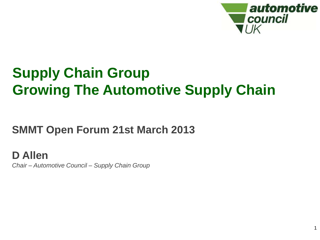

1

# **Supply Chain Group Growing The Automotive Supply Chain**

## **SMMT Open Forum 21st March 2013**

**D Allen** *Chair – Automotive Council – Supply Chain Group*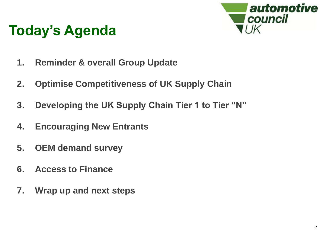

- **1. Reminder & overall Group Update**
- **2. Optimise Competitiveness of UK Supply Chain**
- **3. Developing the UK Supply Chain Tier 1 to Tier "N"**
- **4. Encouraging New Entrants**
- **5. OEM demand survey**
- **6. Access to Finance**
- **7. Wrap up and next steps**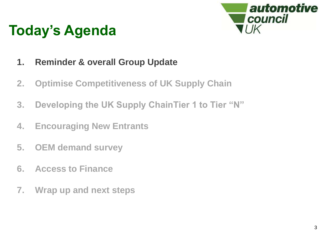

- **1. Reminder & overall Group Update**
- **2. Optimise Competitiveness of UK Supply Chain**
- **3. Developing the UK Supply ChainTier 1 to Tier "N"**
- **4. Encouraging New Entrants**
- **5. OEM demand survey**
- **6. Access to Finance**
- **7. Wrap up and next steps**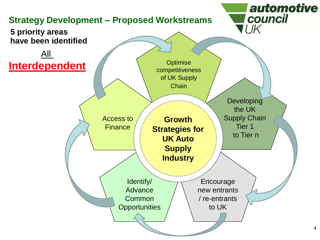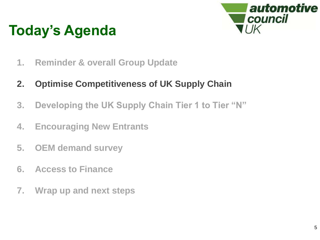

- **1. Reminder & overall Group Update**
- **2. Optimise Competitiveness of UK Supply Chain**
- **3. Developing the UK Supply Chain Tier 1 to Tier "N"**
- **4. Encouraging New Entrants**
- **5. OEM demand survey**
- **6. Access to Finance**
- **7. Wrap up and next steps**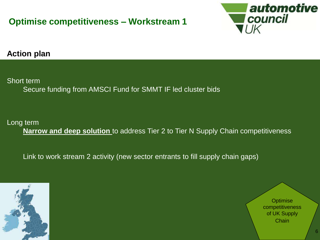### **Optimise competitiveness – Workstream 1**



### **Action plan**

Short term

Secure funding from AMSCI Fund for SMMT IF led cluster bids

### Long term

**Narrow and deep solution** to address Tier 2 to Tier N Supply Chain competitiveness

Link to work stream 2 activity (new sector entrants to fill supply chain gaps)



**Optimise** competitiveness of UK Supply **Chain**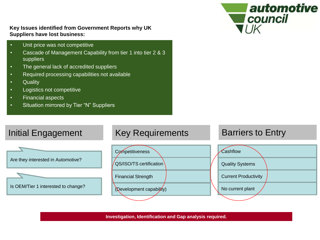

#### **Key Issues identified from Government Reports why UK Suppliers have lost business:**

- Unit price was not competitive
- Cascade of Management Capability from tier 1 into tier 2 & 3 suppliers
- The general lack of accredited suppliers
- Required processing capabilities not available
- Quality
- Logistics not competitive
- Financial aspects
- Situation mirrored by Tier "N" Suppliers

### Initial Engagement Key Requirements **Barriers to Entry**



**Investigation, Identification and Gap analysis required.**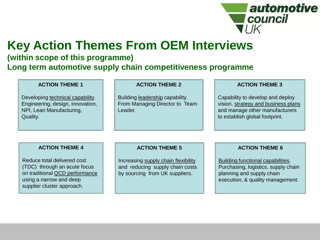

## **Key Action Themes From OEM Interviews**

### **(within scope of this programme) Long term automotive supply chain competitiveness programme**

Developing technical capability. Engineering, design, innovation, NPI, Lean Manufacturing, Quality.

#### **ACTION THEME 2**

Building leadership capability. From Managing Director to Team Leader.

#### **ACTION THEME 3**

Capability to develop and deploy vision, strategy and business plans and manage other manufacturers to establish global footprint.

#### **ACTION THEME 4**

Reduce total delivered cost (TDC) through an acute focus on traditional QCD performance using a narrow and deep supplier cluster approach.

#### **ACTION THEME 5**

Increasing supply chain flexibility and reducing supply chain costs by sourcing from UK suppliers.

#### **ACTION THEME 6**

Building functional capabilities. Purchasing, logistics, supply chain planning and supply chain execution, & quality management.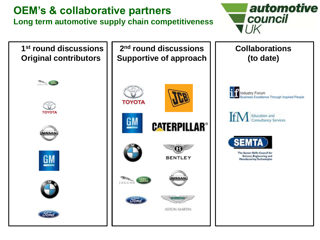## **OEM's & collaborative partners** Long term automotive supply chain competitiveness **produced as a council**



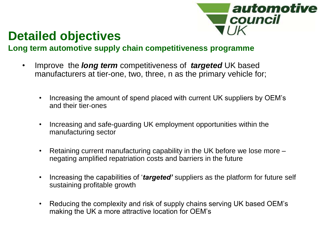

## **Detailed objectives**

### **Long term automotive supply chain competitiveness programme**

- Improve the *long term* competitiveness of *targeted* UK based manufacturers at tier-one, two, three, n as the primary vehicle for;
	- Increasing the amount of spend placed with current UK suppliers by OEM's and their tier-ones
	- Increasing and safe-guarding UK employment opportunities within the manufacturing sector
	- Retaining current manufacturing capability in the UK before we lose more negating amplified repatriation costs and barriers in the future
	- Increasing the capabilities of '*targeted'* suppliers as the platform for future self sustaining profitable growth
	- Reducing the complexity and risk of supply chains serving UK based OEM's making the UK a more attractive location for OEM's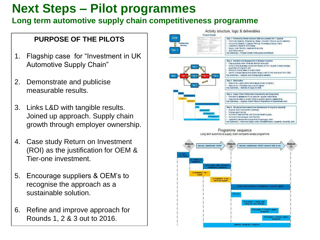## **Next Steps – Pilot programmes**

### **Long term automotive supply chain competitiveness programme**

### **PURPOSE OF THE PILOTS**

- 1. Flagship case for "Investment in UK Automotive Supply Chain"
- 2. Demonstrate and publicise measurable results.
- 3. Links L&D with tangible results. Joined up approach. Supply chain growth through employer ownership.
- 4. Case study Return on Investment (ROI) as the justification for OEM & Tier-one investment.
- 5. Encourage suppliers & OEM's to recognise the approach as a sustainable solution.
- 6. Refine and improve approach for Rounds 1, 2 & 3 out to 2016.

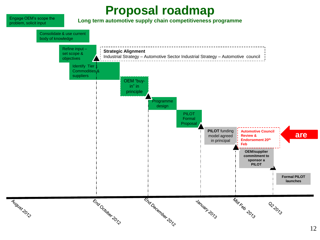## **Proposal roadmap**



#### **Long term automotive supply chain competitiveness programme**

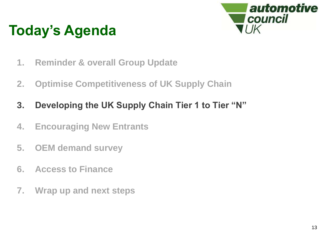

- **1. Reminder & overall Group Update**
- **2. Optimise Competitiveness of UK Supply Chain**
- **3. Developing the UK Supply Chain Tier 1 to Tier "N"**
- **4. Encouraging New Entrants**
- **5. OEM demand survey**
- **6. Access to Finance**
- **7. Wrap up and next steps**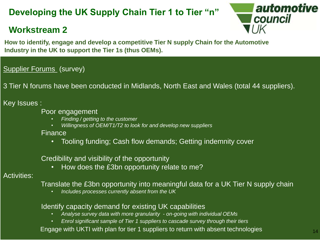### **Developing the UK Supply Chain Tier 1 to Tier "n"**

### **Workstream 2**



Industry in the UK to support the Tier 1s (thus OEMs). **How to identify, engage and develop a competitive Tier N supply Chain for the Automotive** 

### **Supplier Forums** (survey)

3 Tier N forums have been conducted in Midlands, North East and Wales (total 44 suppliers).

### Key Issues :

- Poor engagement
	- *Finding / getting to the customer*
	- *Willingness of OEM/T1/T2 to look for and develop new suppliers*

Finance

• Tooling funding; Cash flow demands; Getting indemnity cover

Credibility and visibility of the opportunity

• How does the £3bn opportunity relate to me?

### Activities:

Translate the £3bn opportunity into meaningful data for a UK Tier N supply chain

• *Includes processes currently absent from the UK*

### Identify capacity demand for existing UK capabilities

- *Analyse survey data with more granularity - on-going with individual OEMs*
- *Enrol significant sample of Tier 1 suppliers to cascade survey through their tiers*

Engage with UKTI with plan for tier 1 suppliers to return with absent technologies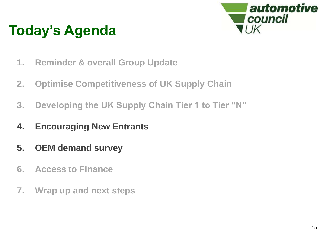

- **1. Reminder & overall Group Update**
- **2. Optimise Competitiveness of UK Supply Chain**
- **3. Developing the UK Supply Chain Tier 1 to Tier "N"**
- **4. Encouraging New Entrants**
- **5. OEM demand survey**
- **6. Access to Finance**
- **7. Wrap up and next steps**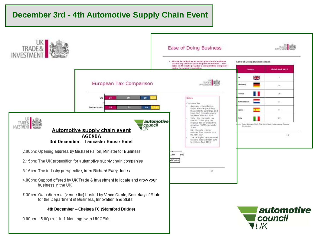### **December 3rd - 4th Automotive Supply Chain Event**

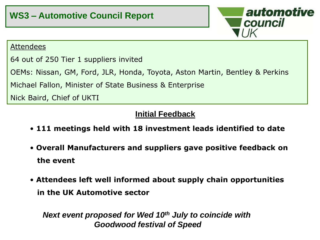

### Attendees

64 out of 250 Tier 1 suppliers invited

OEMs: Nissan, GM, Ford, JLR, Honda, Toyota, Aston Martin, Bentley & Perkins

Michael Fallon, Minister of State Business & Enterprise

Nick Baird, Chief of UKTI

### **Initial Feedback**

- **111 meetings held with 18 investment leads identified to date**
- **Overall Manufacturers and suppliers gave positive feedback on the event**
- **Attendees left well informed about supply chain opportunities in the UK Automotive sector**

*Next event proposed for Wed 10th July to coincide with Goodwood festival of Speed*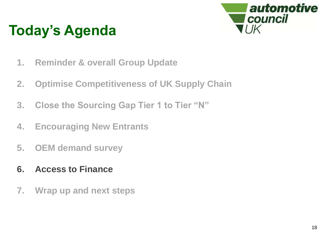

- **1. Reminder & overall Group Update**
- **2. Optimise Competitiveness of UK Supply Chain**
- **3. Close the Sourcing Gap Tier 1 to Tier "N"**
- **4. Encouraging New Entrants**
- **5. OEM demand survey**
- **6. Access to Finance**
- **7. Wrap up and next steps**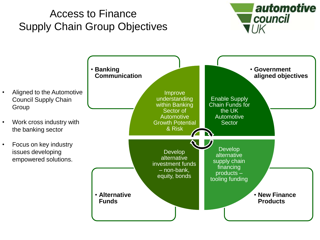## Access to Finance Supply Chain Group Objectives



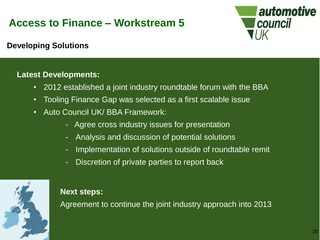## **Access to Finance – Workstream 5**



**Developing Solutions**

### **Latest Developments:**

- 2012 established a joint industry roundtable forum with the BBA
- Tooling Finance Gap was selected as a first scalable issue
- Auto Council UK/ BBA Framework:
	- Agree cross industry issues for presentation
	- Analysis and discussion of potential solutions
	- Implementation of solutions outside of roundtable remit
	- Discretion of private parties to report back



### **Next steps:**

Agreement to continue the joint industry approach into 2013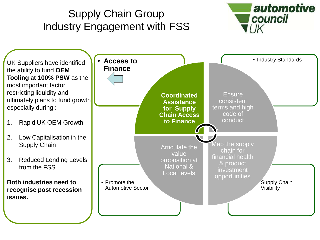#### automotive Supply Chain Group council Industry Engagement with FSS  $I$ • **Access to b a l e f c i h industry Standards** UK Suppliers have identified **Finance** the ability to fund **OEM Tooling at 100% PSW** as the most important factor restricting liquidity and **Ensure Coordinated**  ultimately plans to fund growth consistent **Assistance**  especially during : terms and high **for Supply**  code of **Chain Access**  conduct **to Finance** 1. Rapid UK OEM Growth 2. Low Capitalisation in the Map the supply Supply Chain Articulate the chain for value financial health 3. Reduced Lending Levels proposition at & product National & from the FSS investment Local levels opportunities **Both industries need to**  • Promote the • Supply Chain Automotive Sector Visibility **recognise post recession issues.**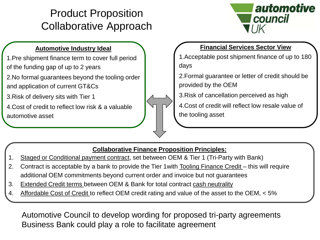## Product Proposition Collaborative Approach



### **Automotive Industry Ideal**

1.Pre shipment finance term to cover full period of the funding gap of up to 2 years

2.No formal guarantees beyond the tooling order and application of current GT&Cs

3.Risk of delivery sits with Tier 1

4.Cost of credit to reflect low risk & a valuable automotive asset

### **Financial Services Sector View**

1.Acceptable post shipment finance of up to 180 days

2.Formal guarantee or letter of credit should be provided by the OEM

3.Risk of cancellation perceived as high

4.Cost of credit will reflect low resale value of the tooling asset

### **Collaborative Finance Proposition Principles:**

- 1. Staged or Conditional payment contract, set between OEM & Tier 1 (Tri-Party with Bank)
- 2. Contract is acceptable by a bank to provide the Tier 1 with Tooling Finance Credit this will require additional OEM commitments beyond current order and invoice but not guarantees
- 3. Extended Credit terms between OEM & Bank for total contract cash neutrality
- 4. Affordable Cost of Credit to reflect OEM credit rating and value of the asset to the OEM, < 5%

Automotive Council to develop wording for proposed tri-party agreements Business Bank could play a role to facilitate agreement